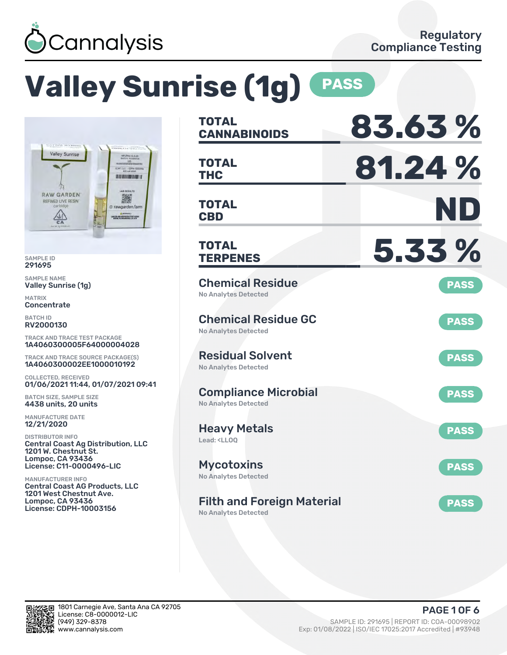

# **Valley Sunrise (1g) PASS**



SAMPLE ID 291695

SAMPLE NAME Valley Sunrise (1g)

MATRIX **Concentrate** 

BATCH ID RV2000130

TRACK AND TRACE TEST PACKAGE 1A4060300005F64000004028

TRACK AND TRACE SOURCE PACKAGE(S) 1A4060300002EE1000010192

COLLECTED, RECEIVED 01/06/2021 11:44, 01/07/2021 09:41

BATCH SIZE, SAMPLE SIZE 4438 units, 20 units

MANUFACTURE DATE 12/21/2020

DISTRIBUTOR INFO Central Coast Ag Distribution, LLC 1201 W. Chestnut St. Lompoc, CA 93436 License: C11-0000496-LIC

MANUFACTURER INFO Central Coast AG Products, LLC 1201 West Chestnut Ave. Lompoc, CA 93436 License: CDPH-10003156

| <b>TOTAL</b><br><b>CANNABINOIDS</b>                                    | 83.63%      |
|------------------------------------------------------------------------|-------------|
| TOTAL<br><b>THC</b>                                                    | 81.24 %     |
| <b>TOTAL</b><br><b>CBD</b>                                             | ND          |
| <b>TOTAL</b><br><b>TERPENES</b>                                        | 5.33%       |
| <b>Chemical Residue</b><br><b>No Analytes Detected</b>                 | <b>PASS</b> |
| <b>Chemical Residue GC</b><br>No Analytes Detected                     | <b>PASS</b> |
| <b>Residual Solvent</b><br><b>No Analytes Detected</b>                 | <b>PASS</b> |
| <b>Compliance Microbial</b><br><b>No Analytes Detected</b>             | <b>PASS</b> |
| <b>Heavy Metals</b><br>Lead: <ll00< td=""><td><b>PASS</b></td></ll00<> | <b>PASS</b> |
| <b>Mycotoxins</b><br>No Analytes Detected                              | <b>PASS</b> |
| <b>Filth and Foreign Material</b><br>No Analytes Detected              | <b>PASS</b> |

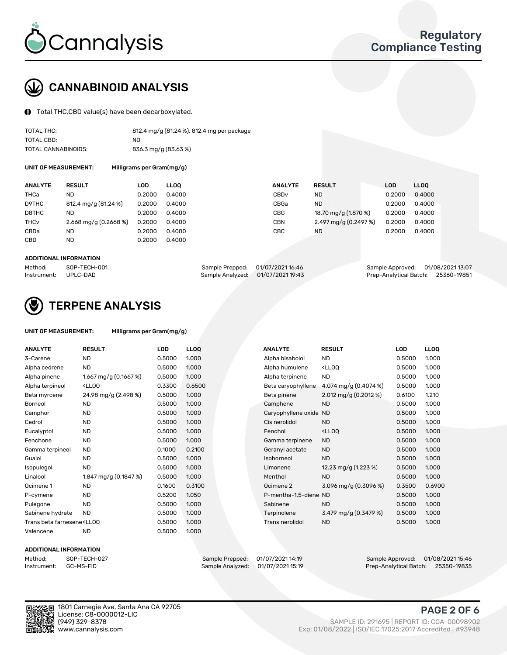

# CANNABINOID ANALYSIS

Total THC,CBD value(s) have been decarboxylated.

| TOTAL THC:          | 812.4 mg/g (81.24 %), 812.4 mg per package |
|---------------------|--------------------------------------------|
| TOTAL CBD:          | ND.                                        |
| TOTAL CANNABINOIDS: | 836.3 mg/g (83.63 %)                       |

UNIT OF MEASUREMENT: Milligrams per Gram(mg/g)

| <b>ANALYTE</b>         | <b>RESULT</b>             | LOD    | <b>LLOO</b> | <b>ANALYTE</b>   | <b>RESULT</b>         | <b>LOD</b> | LL <sub>00</sub> |
|------------------------|---------------------------|--------|-------------|------------------|-----------------------|------------|------------------|
| THCa                   | ND                        | 0.2000 | 0.4000      | CBD <sub>v</sub> | ND                    | 0.2000     | 0.4000           |
| D9THC                  | 812.4 mg/g (81.24 %)      | 0.2000 | 0.4000      | CBGa             | <b>ND</b>             | 0.2000     | 0.4000           |
| D8THC                  | ND                        | 0.2000 | 0.4000      | <b>CBG</b>       | 18.70 mg/g (1.870 %)  | 0.2000     | 0.4000           |
| <b>THC<sub>v</sub></b> | $2.668$ mg/g $(0.2668\%)$ | 0.2000 | 0.4000      | <b>CBN</b>       | 2.497 mg/g (0.2497 %) | 0.2000     | 0.4000           |
| CBDa                   | ND                        | 0.2000 | 0.4000      | CBC              | ND                    | 0.2000     | 0.4000           |
| <b>CBD</b>             | <b>ND</b>                 | 0.2000 | 0.4000      |                  |                       |            |                  |
|                        |                           |        |             |                  |                       |            |                  |

#### ADDITIONAL INFORMATION

| Method:              | SOP-TECH-001 | Sample Prepped: 01/07/2021 16:46  | Sample Approved: 01/08/2021 13:07  |  |
|----------------------|--------------|-----------------------------------|------------------------------------|--|
| Instrument: UPLC-DAD |              | Sample Analyzed: 01/07/2021 19:43 | Prep-Analytical Batch: 25360-19851 |  |



## TERPENE ANALYSIS

| UNIT OF MEASUREMENT: | Milligrams per Gram(mg/g) |
|----------------------|---------------------------|
|                      |                           |

| <b>ANALYTE</b>                                                                                                                                          | <b>RESULT</b>                                                                                                                             | <b>LOD</b> | <b>LLOQ</b> | <b>ANALYTE</b>         | <b>RESULT</b>                                      | <b>LOD</b> | <b>LLOQ</b> |
|---------------------------------------------------------------------------------------------------------------------------------------------------------|-------------------------------------------------------------------------------------------------------------------------------------------|------------|-------------|------------------------|----------------------------------------------------|------------|-------------|
| 3-Carene                                                                                                                                                | <b>ND</b>                                                                                                                                 | 0.5000     | 1.000       | Alpha bisabolol        | <b>ND</b>                                          | 0.5000     | 1.000       |
| Alpha cedrene                                                                                                                                           | <b>ND</b>                                                                                                                                 | 0.5000     | 1.000       | Alpha humulene         | <ll0q< td=""><td>0.5000</td><td>1.000</td></ll0q<> | 0.5000     | 1.000       |
| Alpha pinene                                                                                                                                            | 1.667 mg/g $(0.1667%)$                                                                                                                    | 0.5000     | 1.000       | Alpha terpinene        | <b>ND</b>                                          | 0.5000     | 1.000       |
| Alpha terpineol                                                                                                                                         | <ll0q< td=""><td>0.3300</td><td>0.6500</td><td>Beta caryophyllene</td><td>4.074 mg/g (0.4074 %)</td><td>0.5000</td><td>1.000</td></ll0q<> | 0.3300     | 0.6500      | Beta caryophyllene     | 4.074 mg/g (0.4074 %)                              | 0.5000     | 1.000       |
| Beta myrcene                                                                                                                                            | 24.98 mg/g (2.498 %)                                                                                                                      | 0.5000     | 1.000       | Beta pinene            | 2.012 mg/g $(0.2012 \%)$                           | 0.6100     | 1.210       |
| Borneol                                                                                                                                                 | <b>ND</b>                                                                                                                                 | 0.5000     | 1.000       | Camphene               | <b>ND</b>                                          | 0.5000     | 1.000       |
| Camphor                                                                                                                                                 | <b>ND</b>                                                                                                                                 | 0.5000     | 1.000       | Caryophyllene oxide ND |                                                    | 0.5000     | 1.000       |
| Cedrol                                                                                                                                                  | <b>ND</b>                                                                                                                                 | 0.5000     | 1.000       | Cis nerolidol          | <b>ND</b>                                          | 0.5000     | 1.000       |
| Eucalyptol                                                                                                                                              | <b>ND</b>                                                                                                                                 | 0.5000     | 1.000       | Fenchol                | <ll0q< td=""><td>0.5000</td><td>1.000</td></ll0q<> | 0.5000     | 1.000       |
| Fenchone                                                                                                                                                | <b>ND</b>                                                                                                                                 | 0.5000     | 1.000       | Gamma terpinene        | <b>ND</b>                                          | 0.5000     | 1.000       |
| Gamma terpineol                                                                                                                                         | <b>ND</b>                                                                                                                                 | 0.1000     | 0.2100      | Geranyl acetate        | <b>ND</b>                                          | 0.5000     | 1.000       |
| Guaiol                                                                                                                                                  | <b>ND</b>                                                                                                                                 | 0.5000     | 1.000       | Isoborneol             | <b>ND</b>                                          | 0.5000     | 1.000       |
| Isopulegol                                                                                                                                              | <b>ND</b>                                                                                                                                 | 0.5000     | 1.000       | Limonene               | 12.23 mg/g $(1.223\%)$                             | 0.5000     | 1.000       |
| Linalool                                                                                                                                                | 1.847 mg/g $(0.1847%)$                                                                                                                    | 0.5000     | 1.000       | Menthol                | <b>ND</b>                                          | 0.5000     | 1.000       |
| Ocimene 1                                                                                                                                               | <b>ND</b>                                                                                                                                 | 0.1600     | 0.3100      | Ocimene 2              | 3.096 mg/g (0.3096 %)                              | 0.3500     | 0.6900      |
| P-cymene                                                                                                                                                | <b>ND</b>                                                                                                                                 | 0.5200     | 1.050       | P-mentha-1,5-diene ND  |                                                    | 0.5000     | 1.000       |
| Pulegone                                                                                                                                                | <b>ND</b>                                                                                                                                 | 0.5000     | 1.000       | Sabinene               | <b>ND</b>                                          | 0.5000     | 1.000       |
| Sabinene hydrate                                                                                                                                        | <b>ND</b>                                                                                                                                 | 0.5000     | 1.000       | Terpinolene            | 3.479 mg/g $(0.3479\%)$                            | 0.5000     | 1.000       |
| Trans beta farnesene <ll00< td=""><td></td><td>0.5000</td><td>1.000</td><td>Trans nerolidol</td><td><b>ND</b></td><td>0.5000</td><td>1.000</td></ll00<> |                                                                                                                                           | 0.5000     | 1.000       | Trans nerolidol        | <b>ND</b>                                          | 0.5000     | 1.000       |
| Valencene                                                                                                                                               | <b>ND</b>                                                                                                                                 | 0.5000     | 1.000       |                        |                                                    |            |             |

#### ADDITIONAL INFORMATION

Method: SOP-TECH-027 Sample Prepped: 01/07/2021 14:19 Sample Approved: 01/08/2021 15:46 Prep-Analytical Batch: 25350-19835

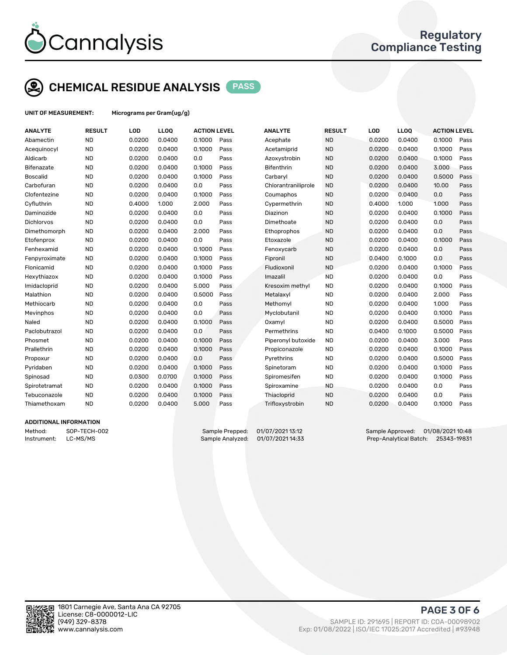

## CHEMICAL RESIDUE ANALYSIS PASS

UNIT OF MEASUREMENT: Micrograms per Gram(ug/g)

| <b>ANALYTE</b>    | <b>RESULT</b> | LOD    | <b>LLOQ</b> | <b>ACTION LEVEL</b> |      | <b>ANALYTE</b>      | <b>RESULT</b> | LOD    | <b>LLOQ</b> | <b>ACTION LEVEL</b> |      |
|-------------------|---------------|--------|-------------|---------------------|------|---------------------|---------------|--------|-------------|---------------------|------|
| Abamectin         | <b>ND</b>     | 0.0200 | 0.0400      | 0.1000              | Pass | Acephate            | <b>ND</b>     | 0.0200 | 0.0400      | 0.1000              | Pass |
| Acequinocyl       | <b>ND</b>     | 0.0200 | 0.0400      | 0.1000              | Pass | Acetamiprid         | <b>ND</b>     | 0.0200 | 0.0400      | 0.1000              | Pass |
| Aldicarb          | <b>ND</b>     | 0.0200 | 0.0400      | 0.0                 | Pass | Azoxystrobin        | <b>ND</b>     | 0.0200 | 0.0400      | 0.1000              | Pass |
| Bifenazate        | <b>ND</b>     | 0.0200 | 0.0400      | 0.1000              | Pass | Bifenthrin          | <b>ND</b>     | 0.0200 | 0.0400      | 3.000               | Pass |
| <b>Boscalid</b>   | <b>ND</b>     | 0.0200 | 0.0400      | 0.1000              | Pass | Carbaryl            | <b>ND</b>     | 0.0200 | 0.0400      | 0.5000              | Pass |
| Carbofuran        | <b>ND</b>     | 0.0200 | 0.0400      | 0.0                 | Pass | Chlorantraniliprole | <b>ND</b>     | 0.0200 | 0.0400      | 10.00               | Pass |
| Clofentezine      | <b>ND</b>     | 0.0200 | 0.0400      | 0.1000              | Pass | Coumaphos           | <b>ND</b>     | 0.0200 | 0.0400      | 0.0                 | Pass |
| Cyfluthrin        | <b>ND</b>     | 0.4000 | 1.000       | 2.000               | Pass | Cypermethrin        | <b>ND</b>     | 0.4000 | 1.000       | 1.000               | Pass |
| Daminozide        | <b>ND</b>     | 0.0200 | 0.0400      | 0.0                 | Pass | Diazinon            | <b>ND</b>     | 0.0200 | 0.0400      | 0.1000              | Pass |
| <b>Dichlorvos</b> | <b>ND</b>     | 0.0200 | 0.0400      | 0.0                 | Pass | Dimethoate          | <b>ND</b>     | 0.0200 | 0.0400      | 0.0                 | Pass |
| Dimethomorph      | <b>ND</b>     | 0.0200 | 0.0400      | 2.000               | Pass | Ethoprophos         | <b>ND</b>     | 0.0200 | 0.0400      | 0.0                 | Pass |
| Etofenprox        | <b>ND</b>     | 0.0200 | 0.0400      | 0.0                 | Pass | Etoxazole           | <b>ND</b>     | 0.0200 | 0.0400      | 0.1000              | Pass |
| Fenhexamid        | <b>ND</b>     | 0.0200 | 0.0400      | 0.1000              | Pass | Fenoxycarb          | <b>ND</b>     | 0.0200 | 0.0400      | 0.0                 | Pass |
| Fenpyroximate     | <b>ND</b>     | 0.0200 | 0.0400      | 0.1000              | Pass | Fipronil            | <b>ND</b>     | 0.0400 | 0.1000      | 0.0                 | Pass |
| Flonicamid        | <b>ND</b>     | 0.0200 | 0.0400      | 0.1000              | Pass | Fludioxonil         | <b>ND</b>     | 0.0200 | 0.0400      | 0.1000              | Pass |
| Hexythiazox       | <b>ND</b>     | 0.0200 | 0.0400      | 0.1000              | Pass | Imazalil            | <b>ND</b>     | 0.0200 | 0.0400      | 0.0                 | Pass |
| Imidacloprid      | <b>ND</b>     | 0.0200 | 0.0400      | 5.000               | Pass | Kresoxim methyl     | <b>ND</b>     | 0.0200 | 0.0400      | 0.1000              | Pass |
| Malathion         | <b>ND</b>     | 0.0200 | 0.0400      | 0.5000              | Pass | Metalaxyl           | <b>ND</b>     | 0.0200 | 0.0400      | 2.000               | Pass |
| Methiocarb        | <b>ND</b>     | 0.0200 | 0.0400      | 0.0                 | Pass | Methomyl            | <b>ND</b>     | 0.0200 | 0.0400      | 1.000               | Pass |
| Mevinphos         | <b>ND</b>     | 0.0200 | 0.0400      | 0.0                 | Pass | Myclobutanil        | <b>ND</b>     | 0.0200 | 0.0400      | 0.1000              | Pass |
| Naled             | <b>ND</b>     | 0.0200 | 0.0400      | 0.1000              | Pass | Oxamvl              | <b>ND</b>     | 0.0200 | 0.0400      | 0.5000              | Pass |
| Paclobutrazol     | <b>ND</b>     | 0.0200 | 0.0400      | 0.0                 | Pass | Permethrins         | <b>ND</b>     | 0.0400 | 0.1000      | 0.5000              | Pass |
| Phosmet           | <b>ND</b>     | 0.0200 | 0.0400      | 0.1000              | Pass | Piperonyl butoxide  | <b>ND</b>     | 0.0200 | 0.0400      | 3.000               | Pass |
| Prallethrin       | <b>ND</b>     | 0.0200 | 0.0400      | 0.1000              | Pass | Propiconazole       | <b>ND</b>     | 0.0200 | 0.0400      | 0.1000              | Pass |
| Propoxur          | <b>ND</b>     | 0.0200 | 0.0400      | 0.0                 | Pass | Pyrethrins          | <b>ND</b>     | 0.0200 | 0.0400      | 0.5000              | Pass |
| Pyridaben         | <b>ND</b>     | 0.0200 | 0.0400      | 0.1000              | Pass | Spinetoram          | <b>ND</b>     | 0.0200 | 0.0400      | 0.1000              | Pass |
| Spinosad          | <b>ND</b>     | 0.0300 | 0.0700      | 0.1000              | Pass | Spiromesifen        | <b>ND</b>     | 0.0200 | 0.0400      | 0.1000              | Pass |
| Spirotetramat     | <b>ND</b>     | 0.0200 | 0.0400      | 0.1000              | Pass | Spiroxamine         | <b>ND</b>     | 0.0200 | 0.0400      | 0.0                 | Pass |
| Tebuconazole      | <b>ND</b>     | 0.0200 | 0.0400      | 0.1000              | Pass | Thiacloprid         | <b>ND</b>     | 0.0200 | 0.0400      | 0.0                 | Pass |
| Thiamethoxam      | <b>ND</b>     | 0.0200 | 0.0400      | 5.000               | Pass | Trifloxystrobin     | <b>ND</b>     | 0.0200 | 0.0400      | 0.1000              | Pass |
|                   |               |        |             |                     |      |                     |               |        |             |                     |      |

#### ADDITIONAL INFORMATION

Method: SOP-TECH-002 Sample Prepped: 01/07/2021 13:12 Sample Approved: 01/08/2021 10:48<br>Sample Analyzed: 01/07/2021 14:33 Prep-Analytical Batch: 25343-19831 Instrument: LC-MS/MS Sample Analyzed: 01/07/2021 14:33 Prep-Analytical Batch: 25343-19831



PAGE 3 OF 6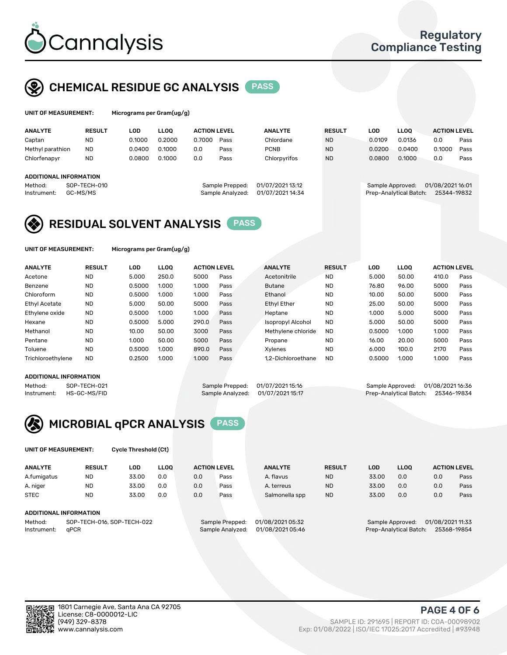

## CHEMICAL RESIDUE GC ANALYSIS PASS

| UNIT OF MEASUREMENT: | Microgr |
|----------------------|---------|
|----------------------|---------|

rams per Gram(ug/g)

| <b>ANALYTE</b>                | <b>RESULT</b> | <b>LOD</b> | <b>LLOO</b> | <b>ACTION LEVEL</b> |                  | <b>ANALYTE</b>   | <b>RESULT</b> | <b>LOD</b>       | <b>LLOO</b>            | <b>ACTION LEVEL</b> |      |
|-------------------------------|---------------|------------|-------------|---------------------|------------------|------------------|---------------|------------------|------------------------|---------------------|------|
| Captan                        | <b>ND</b>     | 0.1000     | 0.2000      | 0.7000              | Pass             | Chlordane        | <b>ND</b>     | 0.0109           | 0.0136                 | 0.0                 | Pass |
| Methyl parathion              | <b>ND</b>     | 0.0400     | 0.1000      | 0.0                 | Pass             | <b>PCNB</b>      | <b>ND</b>     | 0.0200           | 0.0400                 | 0.1000              | Pass |
| Chlorfenapyr                  | <b>ND</b>     | 0.0800     | 0.1000      | 0.0                 | Pass             | Chlorpyrifos     | <b>ND</b>     | 0.0800           | 0.1000                 | 0.0                 | Pass |
|                               |               |            |             |                     |                  |                  |               |                  |                        |                     |      |
| <b>ADDITIONAL INFORMATION</b> |               |            |             |                     |                  |                  |               |                  |                        |                     |      |
| Method:                       | SOP-TECH-010  |            |             |                     | Sample Prepped:  | 01/07/2021 13:12 |               | Sample Approved: |                        | 01/08/2021 16:01    |      |
| Instrument:                   | GC-MS/MS      |            |             |                     | Sample Analyzed: | 01/07/2021 14:34 |               |                  | Prep-Analytical Batch: | 25344-19832         |      |
|                               |               |            |             |                     |                  |                  |               |                  |                        |                     |      |

## RESIDUAL SOLVENT ANALYSIS PASS

UNIT OF MEASUREMENT: Micrograms per Gram(ug/g)

| <b>ANALYTE</b>       | <b>RESULT</b> | LOD    | <b>LLOO</b> | <b>ACTION LEVEL</b> |      | <b>ANALYTE</b>           | <b>RESULT</b> | LOD    | <b>LLOO</b> | <b>ACTION LEVEL</b> |      |
|----------------------|---------------|--------|-------------|---------------------|------|--------------------------|---------------|--------|-------------|---------------------|------|
| Acetone              | <b>ND</b>     | 5.000  | 250.0       | 5000                | Pass | Acetonitrile             | <b>ND</b>     | 5.000  | 50.00       | 410.0               | Pass |
| Benzene              | <b>ND</b>     | 0.5000 | 1.000       | 1.000               | Pass | <b>Butane</b>            | <b>ND</b>     | 76.80  | 96.00       | 5000                | Pass |
| Chloroform           | <b>ND</b>     | 0.5000 | 1.000       | 1.000               | Pass | Ethanol                  | <b>ND</b>     | 10.00  | 50.00       | 5000                | Pass |
| <b>Ethyl Acetate</b> | <b>ND</b>     | 5.000  | 50.00       | 5000                | Pass | <b>Ethyl Ether</b>       | <b>ND</b>     | 25.00  | 50.00       | 5000                | Pass |
| Ethylene oxide       | <b>ND</b>     | 0.5000 | 1.000       | 1.000               | Pass | Heptane                  | <b>ND</b>     | 1.000  | 5.000       | 5000                | Pass |
| Hexane               | <b>ND</b>     | 0.5000 | 5.000       | 290.0               | Pass | <b>Isopropyl Alcohol</b> | <b>ND</b>     | 5.000  | 50.00       | 5000                | Pass |
| Methanol             | <b>ND</b>     | 10.00  | 50.00       | 3000                | Pass | Methylene chloride       | <b>ND</b>     | 0.5000 | 1.000       | 1.000               | Pass |
| Pentane              | <b>ND</b>     | 1.000  | 50.00       | 5000                | Pass | Propane                  | <b>ND</b>     | 16.00  | 20.00       | 5000                | Pass |
| Toluene              | <b>ND</b>     | 0.5000 | 1.000       | 890.0               | Pass | Xvlenes                  | <b>ND</b>     | 6.000  | 100.0       | 2170                | Pass |
| Trichloroethylene    | <b>ND</b>     | 0.2500 | 1.000       | 1.000               | Pass | 1.2-Dichloroethane       | <b>ND</b>     | 0.5000 | 1.000       | 1.000               | Pass |

### ADDITIONAL INFORMATION

Method: SOP-TECH-021 Sample Prepped: 01/07/2021 15:16 Sample Approved: 01/08/2021 16:36<br>Instrument: HS-GC-MS/FID Sample Analyzed: 01/07/2021 15:17 Prep-Analytical Batch: 25346-19834 Prep-Analytical Batch: 25346-19834



UNIT OF MEASUREMENT: Cycle Threshold (Ct)

| <b>ANALYTE</b>         | <b>RESULT</b>              | LOD   | <b>LLOO</b> |     | <b>ACTION LEVEL</b> | <b>ANALYTE</b>   | <b>RESULT</b> | <b>LOD</b> | <b>LLOO</b>            |                  | <b>ACTION LEVEL</b> |
|------------------------|----------------------------|-------|-------------|-----|---------------------|------------------|---------------|------------|------------------------|------------------|---------------------|
| A.fumigatus            | <b>ND</b>                  | 33.00 | 0.0         | 0.0 | Pass                | A. flavus        | <b>ND</b>     | 33.00      | 0.0                    | 0.0              | Pass                |
| A. niger               | <b>ND</b>                  | 33.00 | 0.0         | 0.0 | Pass                | A. terreus       | <b>ND</b>     | 33.00      | 0.0                    | 0.0              | Pass                |
| <b>STEC</b>            | <b>ND</b>                  | 33.00 | 0.0         | 0.0 | Pass                | Salmonella spp   | <b>ND</b>     | 33.00      | 0.0                    | 0.0              | Pass                |
| ADDITIONAL INFORMATION |                            |       |             |     |                     |                  |               |            |                        |                  |                     |
| Method:                | SOP-TECH-016, SOP-TECH-022 |       |             |     | Sample Prepped:     | 01/08/2021 05:32 |               |            | Sample Approved:       | 01/08/2021 11:33 |                     |
| Instrument:            | aPCR                       |       |             |     | Sample Analyzed:    | 01/08/2021 05:46 |               |            | Prep-Analytical Batch: |                  | 25368-19854         |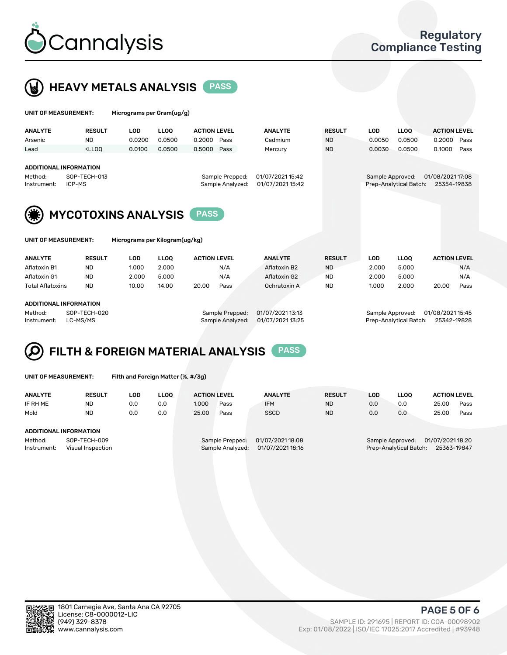



| UNIT OF MEASUREMENT:                                       |                                                                                                                                                                             | Micrograms per Gram(ug/g)      |             |                                     |      |                                      |               |                  |                        |                                 |      |
|------------------------------------------------------------|-----------------------------------------------------------------------------------------------------------------------------------------------------------------------------|--------------------------------|-------------|-------------------------------------|------|--------------------------------------|---------------|------------------|------------------------|---------------------------------|------|
| <b>ANALYTE</b>                                             | <b>RESULT</b>                                                                                                                                                               | <b>LOD</b>                     | <b>LLOO</b> | <b>ACTION LEVEL</b>                 |      | <b>ANALYTE</b>                       | <b>RESULT</b> | <b>LOD</b>       | <b>LLOQ</b>            | <b>ACTION LEVEL</b>             |      |
| Arsenic                                                    | ND.                                                                                                                                                                         | 0.0200                         | 0.0500      | 0.2000                              | Pass | Cadmium                              | <b>ND</b>     | 0.0050           | 0.0500                 | 0.2000                          | Pass |
| Lead                                                       | <lloq< td=""><td>0.0100</td><td>0.0500</td><td>0.5000</td><td>Pass</td><td>Mercury</td><td><b>ND</b></td><td>0.0030</td><td>0.0500</td><td>0.1000</td><td>Pass</td></lloq<> | 0.0100                         | 0.0500      | 0.5000                              | Pass | Mercury                              | <b>ND</b>     | 0.0030           | 0.0500                 | 0.1000                          | Pass |
| ADDITIONAL INFORMATION<br>Method:<br>ICP-MS<br>Instrument: | SOP-TECH-013                                                                                                                                                                |                                |             | Sample Prepped:<br>Sample Analyzed: |      | 01/07/2021 15:42<br>01/07/2021 15:42 |               | Sample Approved: | Prep-Analytical Batch: | 01/08/2021 17:08<br>25354-19838 |      |
|                                                            | <b>MYCOTOXINS ANALYSIS</b><br><b>PASS</b>                                                                                                                                   |                                |             |                                     |      |                                      |               |                  |                        |                                 |      |
| UNIT OF MEASUREMENT:                                       |                                                                                                                                                                             | Micrograms per Kilogram(ug/kg) |             |                                     |      |                                      |               |                  |                        |                                 |      |
| <b>ANALYTE</b>                                             | <b>RESULT</b>                                                                                                                                                               | <b>LOD</b>                     | <b>LLOO</b> | <b>ACTION LEVEL</b>                 |      | <b>ANALYTE</b>                       | <b>RESULT</b> | <b>LOD</b>       | <b>LLOQ</b>            | <b>ACTION LEVEL</b>             |      |
| Aflatoxin B1                                               | <b>ND</b>                                                                                                                                                                   | 1.000                          | 2.000       |                                     | N/A  | Aflatoxin B2                         | <b>ND</b>     | 2.000            | 5.000                  |                                 | N/A  |
| Aflatoxin G1                                               | <b>ND</b>                                                                                                                                                                   | 2.000                          | 5.000       |                                     | N/A  | Aflatoxin G2                         | <b>ND</b>     | 2.000            | 5.000                  |                                 | N/A  |
| <b>Total Aflatoxins</b>                                    | <b>ND</b>                                                                                                                                                                   | 10.00                          | 14.00       | 20.00                               | Pass | Ochratoxin A                         | <b>ND</b>     | 1.000            | 2.000                  | 20.00                           | Pass |
|                                                            |                                                                                                                                                                             |                                |             |                                     |      |                                      |               |                  |                        |                                 |      |

#### ADDITIONAL INFORMATION

Q

Method: SOP-TECH-020 Sample Prepped: 01/07/2021 13:13 Sample Approved: 01/08/2021 15:45

Instrument: LC-MS/MS Sample Analyzed: 01/07/2021 13:25 Prep-Analytical Batch: 25342-19828

FILTH & FOREIGN MATERIAL ANALYSIS PASS

UNIT OF MEASUREMENT: Filth and Foreign Matter (%, #/3g)

| <b>ANALYTE</b>         | <b>RESULT</b>                     | LOD | <b>LLOO</b> | <b>ACTION LEVEL</b>                                                         |      | <b>ANALYTE</b> | <b>RESULT</b> | LOD                                                                           | <b>LLOO</b> | <b>ACTION LEVEL</b> |      |
|------------------------|-----------------------------------|-----|-------------|-----------------------------------------------------------------------------|------|----------------|---------------|-------------------------------------------------------------------------------|-------------|---------------------|------|
| IF RH ME               | ND                                | 0.0 | 0.0         | 1.000                                                                       | Pass | <b>IFM</b>     | <b>ND</b>     | 0.0                                                                           | 0.0         | 25.00               | Pass |
| Mold                   | <b>ND</b>                         | 0.0 | 0.0         | 25.00                                                                       | Pass | <b>SSCD</b>    | <b>ND</b>     | 0.0                                                                           | 0.0         | 25.00               | Pass |
|                        |                                   |     |             |                                                                             |      |                |               |                                                                               |             |                     |      |
| ADDITIONAL INFORMATION |                                   |     |             |                                                                             |      |                |               |                                                                               |             |                     |      |
| Method:<br>Instrument: | SOP-TECH-009<br>Visual Inspection |     |             | 01/07/2021 18:08<br>Sample Prepped:<br>01/07/2021 18:16<br>Sample Analyzed: |      |                |               | 01/07/2021 18:20<br>Sample Approved:<br>Prep-Analytical Batch:<br>25363-19847 |             |                     |      |